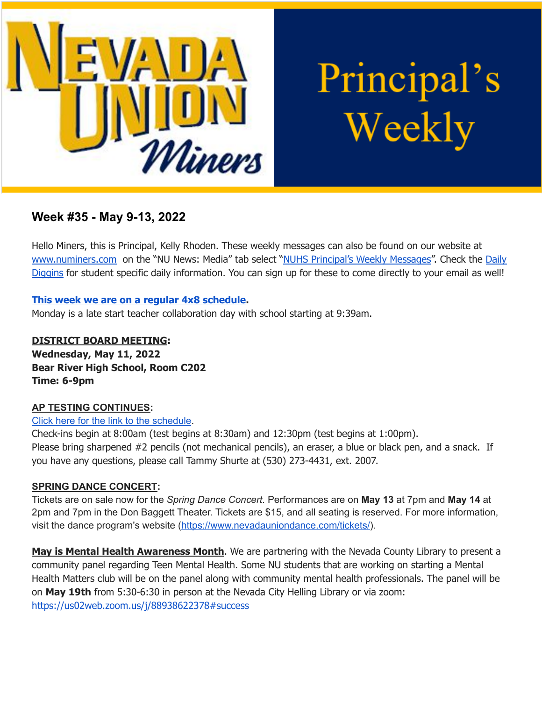

Principal's Weekly

# **Week #35 - May 9-13, 2022**

Hello Miners, this is Principal, Kelly Rhoden. These weekly messages can also be found on our website at [www.numiners.com](http://www.numiners.com) on the "NU News: Media" tab select "NUHS [Principal's](https://nevadaunion.njuhsd.com/NU-NewsMedia/NUHS-Principals-Weekly-Messages/index.html) Weekly Messages". Check the [Daily](https://nevadaunion.njuhsd.com/NU-NewsMedia/Daily-Diggins-Bulletin/index.html) [Diggins](https://nevadaunion.njuhsd.com/NU-NewsMedia/Daily-Diggins-Bulletin/index.html) for student specific daily information. You can sign up for these to come directly to your email as well!

# **This week we are on a regular 4x8 [schedule.](https://nevadaunion.njuhsd.com/documents/Bell%20Schedules/Bell-Schedule-2021-2022-NUHS-4x8.pdf)**

Monday is a late start teacher collaboration day with school starting at 9:39am.

**DISTRICT BOARD MEETING: Wednesday, May 11, 2022 Bear River High School, Room C202 Time: 6-9pm**

# **AP TESTING CONTINUES:**

# Click here for the link to the [schedule](https://nevadaunion.njuhsd.com/About-Us/Testing--Accountability/Advanced-Placement-Tests/index.html).

Check-ins begin at 8:00am (test begins at 8:30am) and 12:30pm (test begins at 1:00pm). Please bring sharpened #2 pencils (not mechanical pencils), an eraser, a blue or black pen, and a snack. If you have any questions, please call Tammy Shurte at (530) 273-4431, ext. 2007.

# **SPRING DANCE CONCERT:**

Tickets are on sale now for the *Spring Dance Concert.* Performances are on **May 13** at 7pm and **May 14** at 2pm and 7pm in the Don Baggett Theater. Tickets are \$15, and all seating is reserved. For more information, visit the dance program's website (<https://www.nevadauniondance.com/tickets/>).

**May is Mental Health Awareness Month**. We are partnering with the Nevada County Library to present a community panel regarding Teen Mental Health. Some NU students that are working on starting a Mental Health Matters club will be on the panel along with community mental health professionals. The panel will be on **May 19th** from 5:30-6:30 in person at the Nevada City Helling Library or via zoom: <https://us02web.zoom.us/j/88938622378#success>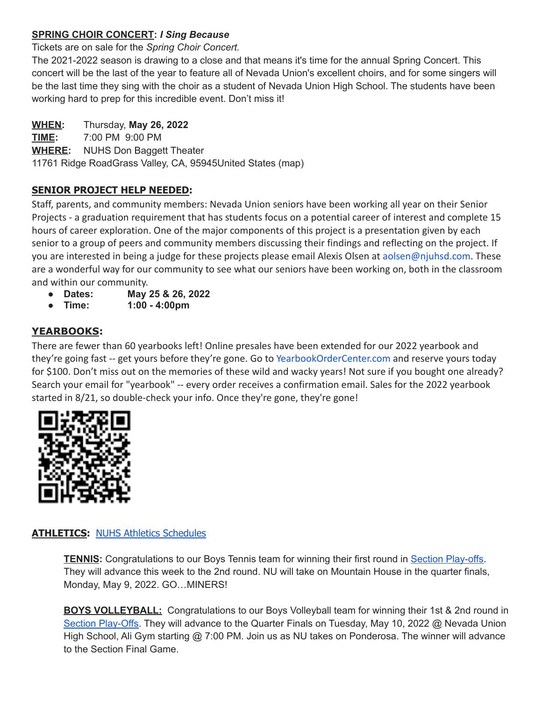# **SPRING CHOIR CONCERT:** *I Sing Because*

Tickets are on sale for the *Spring Choir Concert.*

The 2021-2022 season is drawing to a close and that means it's time for the annual Spring Concert. This concert will be the last of the year to feature all of Nevada Union's excellent choirs, and for some singers will be the last time they sing with the choir as a student of Nevada Union High School. The students have been working hard to prep for this incredible event. Don't miss it!

# **WHEN:** Thursday, **May 26, 2022**

**TIME:** 7:00 PM 9:00 PM **WHERE:** NUHS Don Baggett Theater 11761 Ridge RoadGrass Valley, CA, 95945United States (map)

# **SENIOR PROJECT HELP NEEDED:**

Staff, parents, and community members: Nevada Union seniors have been working all year on their Senior Projects - a graduation requirement that has students focus on a potential career of interest and complete 15 hours of career exploration. One of the major components of this project is a presentation given by each senior to a group of peers and community members discussing their findings and reflecting on the project. If you are interested in being a judge for these projects please email Alexis Olsen at aolsen@njuhsd.com. These are a wonderful way for our community to see what our seniors have been working on, both in the classroom and within our community.

- **● Dates: May 25 & 26, 2022**
- **● Time: 1:00 - 4:00pm**

# **YEARBOOKS:**

There are fewer than 60 yearbooks left! Online presales have been extended for our 2022 yearbook and they're going fast -- get yours before they're gone. Go to [YearbookOrderCenter.com](https://www.yearbookordercenter.com/?event=general.displayLanding&jobnumber=14084) and reserve yours today for \$100. Don't miss out on the memories of these wild and wacky years! Not sure if you bought one already? Search your email for "yearbook" -- every order receives a confirmation email. Sales for the 2022 yearbook started in 8/21, so double-check your info. Once they're gone, they're gone!



# **ATHLETICS:** NUHS Athletics [Schedules](https://nevadaunion.njuhsd.com/Athletics/Sports-Calendar--Schedules/index.html)

**TENNIS:** Congratulations to our Boys Tennis team for winning their first round in Section [Play-offs.](https://cifsjs.org/sports/mten/2021-22info/tennisboysd4bracket_22.pdf) They will advance this week to the 2nd round. NU will take on Mountain House in the quarter finals, Monday, May 9, 2022. GO…MINERS!

**BOYS VOLLEYBALL:** Congratulations to our Boys Volleyball team for winning their 1st & 2nd round in Section [Play-Offs.](https://cifsjs.org/sports/mvball/Playoffs_MVB_D2) They will advance to the Quarter Finals on Tuesday, May 10, 2022 @ Nevada Union High School, Ali Gym starting @ 7:00 PM. Join us as NU takes on Ponderosa. The winner will advance to the Section Final Game.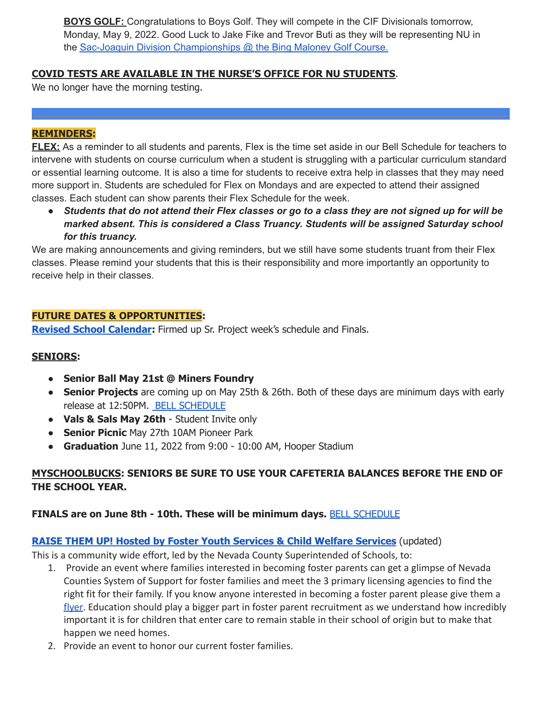**BOYS GOLF:** Congratulations to Boys Golf. They will compete in the CIF Divisionals tomorrow, Monday, May 9, 2022. Good Luck to Jake Fike and Trevor Buti as they will be representing NU in the Sac-Joaquin Division [Championships](https://cifsjs.org/sports/mgolf/2021-22info/2022_Sac_Joaquin_Division_3_Section_Championship_1_Starting_Holes_-_Monday_May_9th.pdf) @ the Bing Maloney Golf Course.

# **COVID TESTS ARE AVAILABLE IN THE NURSE'S OFFICE FOR NU STUDENTS**.

We no longer have the morning testing.

#### **REMINDERS:**

**FLEX:** As a reminder to all students and parents, Flex is the time set aside in our Bell Schedule for teachers to intervene with students on course curriculum when a student is struggling with a particular curriculum standard or essential learning outcome. It is also a time for students to receive extra help in classes that they may need more support in. Students are scheduled for Flex on Mondays and are expected to attend their assigned classes. Each student can show parents their Flex Schedule for the week.

• Students that do not attend their Flex classes or go to a class they are not signed up for will be *marked absent. This is considered a Class Truancy. Students will be assigned Saturday school for this truancy.*

We are making announcements and giving reminders, but we still have some students truant from their Flex classes. Please remind your students that this is their responsibility and more importantly an opportunity to receive help in their classes.

#### **FUTURE DATES & OPPORTUNITIES:**

**Revised School [Calendar](https://nevadaunion.njuhsd.com/documents/Calendar%20Information/NUHS-21.22-School-Year-Calendar-Finals-Update.pdf):** Firmed up Sr. Project week's schedule and Finals.

#### **SENIORS:**

- **● Senior Ball May 21st @ Miners Foundry**
- **Senior Projects** are coming up on May 25th & 26th. Both of these days are minimum days with early release at 12:50PM. BELL [SCHEDULE](https://nevadaunion.njuhsd.com/documents/Bell%20Schedules/21.22-SENIOR-PROJECT-MIN-DAYS-WEEKLY-SCHEDULE-MAY-25-26.pdf)
- **Vals & Sals May 26th** Student Invite only
- **Senior Picnic** May 27th 10AM Pioneer Park
- **Graduation** June 11, 2022 from 9:00 10:00 AM, Hooper Stadium

# **MYSCHOOLBUCKS: SENIORS BE SURE TO USE YOUR CAFETERIA BALANCES BEFORE THE END OF THE SCHOOL YEAR.**

# **FINALS are on June 8th - 10th. These will be minimum days.** BELL [SCHEDULE](https://nevadaunion.njuhsd.com/documents/Bell%20Schedules/Finals-Spring-2021-2022.pdf)

#### **RAISE THEM UP! Hosted by Foster Youth Services & Child Welfare [Services](https://drive.google.com/file/d/1c-xLIzehkua28fMpjV7l8QZq7Gwo71gD/view?usp=sharing)** (updated)

This is a community wide effort, led by the Nevada County Superintended of Schools, to:

- 1. Provide an event where families interested in becoming foster parents can get a glimpse of Nevada Counties System of Support for foster families and meet the 3 primary licensing agencies to find the right fit for their family. If you know anyone interested in becoming a foster parent please give them a [flyer.](https://drive.google.com/file/d/1c-xLIzehkua28fMpjV7l8QZq7Gwo71gD/view?usp=sharing) Education should play a bigger part in foster parent recruitment as we understand how incredibly important it is for children that enter care to remain stable in their school of origin but to make that happen we need homes.
- 2. Provide an event to honor our current foster families.